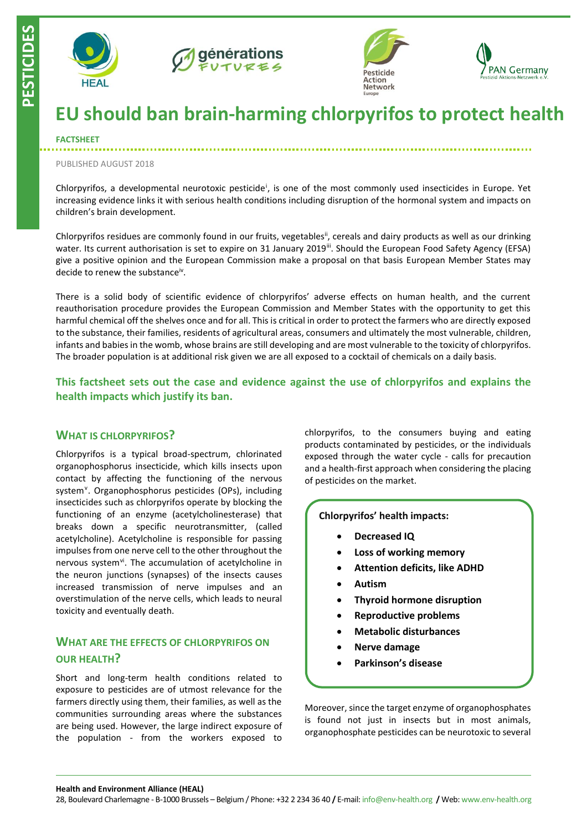

**PESTICIDES**







# **EU should ban brain-harming chlorpyrifos to protect health**

#### **FACTSHEET**

#### PUBLISHED AUGUST 2018

Chlorpyrifos, a developmental neurotoxic pesticide<sup>i</sup>, is one of the most commonly used insecticides in Europe. Yet increasing evidence links it with serious health conditions including disruption of the hormonal system and impacts on children's brain development.

Chlorpyrifos residues are commonly found in our fruits, vegetables<sup>ii</sup>, cereals and dairy products as well as our drinking water. Its current authorisation is set to expire on 31 January 2019<sup>ii</sup>. Should the European Food Safety Agency (EFSA) give a positive opinion and the European Commission make a proposal on that basis European Member States may decide to renew the substance<sup>iv</sup>.

There is a solid body of scientific evidence of chlorpyrifos' adverse effects on human health, and the current reauthorisation procedure provides the European Commission and Member States with the opportunity to get this harmful chemical off the shelves once and for all. This is critical in order to protect the farmers who are directly exposed to the substance, their families, residents of agricultural areas, consumers and ultimately the most vulnerable, children, infants and babies in the womb, whose brains are still developing and are most vulnerable to the toxicity of chlorpyrifos. The broader population is at additional risk given we are all exposed to a cocktail of chemicals on a daily basis.

**This factsheet sets out the case and evidence against the use of chlorpyrifos and explains the health impacts which justify its ban.**

### **WHAT IS CHLORPYRIFOS?**

Chlorpyrifos is a typical broad-spectrum, chlorinated organophosphorus insecticide, which kills insects upon contact by affecting the functioning of the nervous system<sup>v</sup>. Organophosphorus pesticides (OPs), including insecticides such as chlorpyrifos operate by blocking the functioning of an enzyme (acetylcholinesterase) that breaks down a specific neurotransmitter, (called acetylcholine). Acetylcholine is responsible for passing impulses from one nerve cell to the other throughout the nervous system<sup>vi</sup>. The accumulation of acetylcholine in the neuron junctions (synapses) of the insects causes increased transmission of nerve impulses and an overstimulation of the nerve cells, which leads to neural toxicity and eventually death.

# **WHAT ARE THE EFFECTS OF CHLORPYRIFOS ON OUR HEALTH?**

Short and long-term health conditions related to exposure to pesticides are of utmost relevance for the farmers directly using them, their families, as well as the communities surrounding areas where the substances are being used. However, the large indirect exposure of the population - from the workers exposed to chlorpyrifos, to the consumers buying and eating products contaminated by pesticides, or the individuals exposed through the water cycle - calls for precaution and a health-first approach when considering the placing of pesticides on the market.

**Chlorpyrifos' health impacts:**

- **Decreased IQ**
- **Loss of working memory**
- **Attention deficits, like ADHD**
- **Autism**
- **Thyroid hormone disruption**
- **Reproductive problems**
- **Metabolic disturbances**
- **Nerve damage**
- **Parkinson's disease**

Moreover, since the target enzyme of organophosphates is found not just in insects but in most animals, organophosphate pesticides can be neurotoxic to several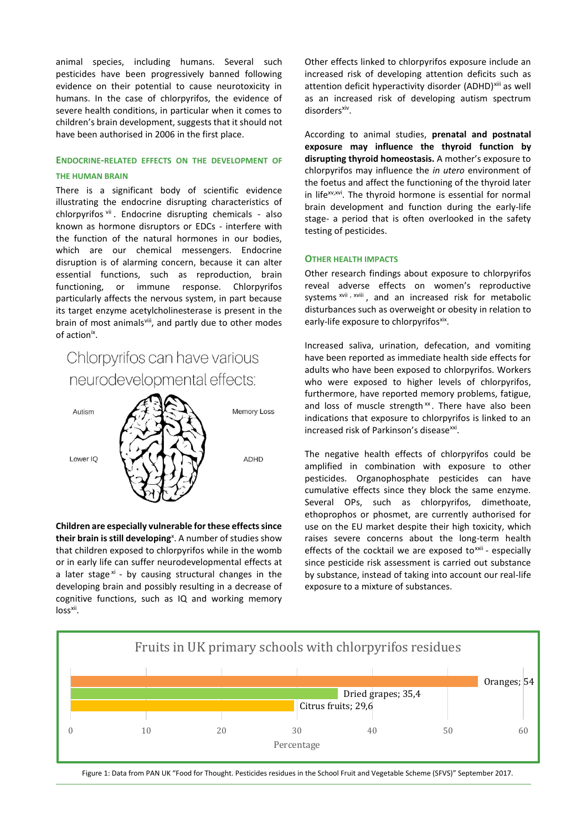animal species, including humans. Several such pesticides have been progressively banned following evidence on their potential to cause neurotoxicity in humans. In the case of chlorpyrifos, the evidence of severe health conditions, in particular when it comes to children's brain development, suggests that it should not have been authorised in 2006 in the first place.

# **ENDOCRINE-RELATED EFFECTS ON THE DEVELOPMENT OF**

#### **THE HUMAN BRAIN**

There is a significant body of scientific evidence illustrating the endocrine disrupting characteristics of chlorpyrifos vii. Endocrine disrupting chemicals - also known as hormone disruptors or EDCs - interfere with the function of the natural hormones in our bodies, which are our chemical messengers. Endocrine disruption is of alarming concern, because it can alter essential functions, such as reproduction, brain functioning, or immune response. Chlorpyrifos particularly affects the nervous system, in part because its target enzyme acetylcholinesterase is present in the brain of most animals<sup>viii</sup>, and partly due to other modes of action<sup>ix</sup>.

# Chlorpyrifos can have various neurodevelopmental effects:



**Children are especially vulnerable for these effects since their brain is still developing**<sup>x</sup>. A number of studies show that children exposed to chlorpyrifos while in the womb or in early life can suffer neurodevelopmental effects at a later stage<sup>xi</sup> - by causing structural changes in the developing brain and possibly resulting in a decrease of cognitive functions, such as IQ and working memory loss<sup>xii</sup>.

Other effects linked to chlorpyrifos exposure include an increased risk of developing attention deficits such as attention deficit hyperactivity disorder (ADHD)<sup>xiii</sup> as well as an increased risk of developing autism spectrum disorders<sup>xiv</sup>.

According to animal studies, **prenatal and postnatal exposure may influence the thyroid function by disrupting thyroid homeostasis.** A mother's exposure to chlorpyrifos may influence the *in utero* environment of the foetus and affect the functioning of the thyroid later in life<sup>xv,xvi</sup>. The thyroid hormone is essential for normal brain development and function during the early-life stage- a period that is often overlooked in the safety testing of pesticides.

### **OTHER HEALTH IMPACTS**

Other research findings about exposure to chlorpyrifos reveal adverse effects on women's reproductive systems xvii, xviii, and an increased risk for metabolic disturbances such as overweight or obesity in relation to early-life exposure to chlorpyrifos<sup>xix</sup>.

Increased saliva, urination, defecation, and vomiting have been reported as immediate health side effects for adults who have been exposed to chlorpyrifos. Workers who were exposed to higher levels of chlorpyrifos, furthermore, have reported memory problems, fatigue, and loss of muscle strength $x$ . There have also been indications that exposure to chlorpyrifos is linked to an increased risk of Parkinson's disease<sup>xxi</sup>.

The negative health effects of chlorpyrifos could be amplified in combination with exposure to other pesticides. Organophosphate pesticides can have cumulative effects since they block the same enzyme. Several OPs, such as chlorpyrifos, dimethoate, ethoprophos or phosmet, are currently authorised for use on the EU market despite their high toxicity, which raises severe concerns about the long-term health effects of the cocktail we are exposed to<sup>xxii</sup>- especially since pesticide risk assessment is carried out substance by substance, instead of taking into account our real-life exposure to a mixture of substances.



Figure 1: Data from PAN UK "Food for Thought. Pesticides residues in the School Fruit and Vegetable Scheme (SFVS)" September 2017.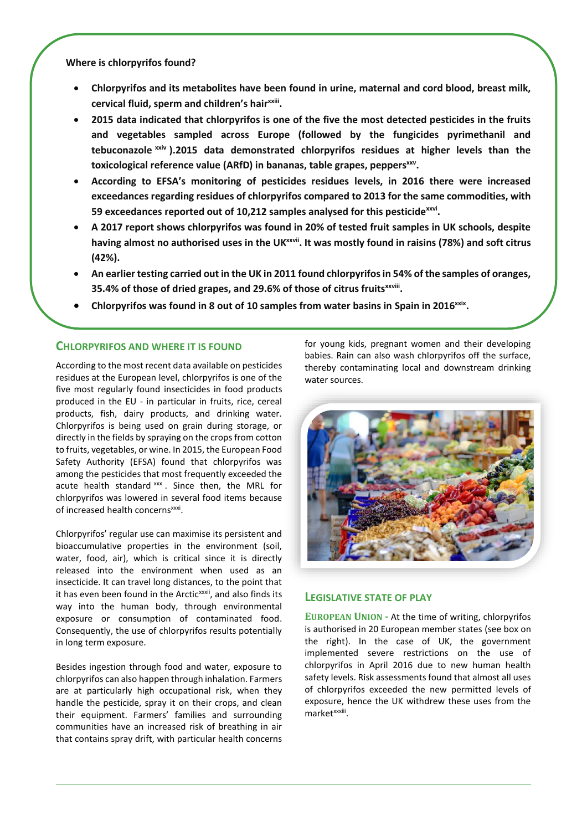**Where is chlorpyrifos found?**

- **Chlorpyrifos and its metabolites have been found in urine, maternal and cord blood, breast milk, cervical fluid, sperm and children's hairxxiii .**
- **2015 data indicated that chlorpyrifos is one of the five the most detected pesticides in the fruits and vegetables sampled across Europe (followed by the fungicides pyrimethanil and tebuconazole xxiv ).2015 data demonstrated chlorpyrifos residues at higher levels than the toxicological reference value (ARfD) in bananas, table grapes, peppersxxv .**
- **According to EFSA's monitoring of pesticides residues levels, in 2016 there were increased exceedances regarding residues of chlorpyrifos compared to 2013 for the same commodities, with 59 exceedances reported out of 10,212 samples analysed for this pesticidexxvi .**
- **A 2017 report shows chlorpyrifos was found in 20% of tested fruit samples in UK schools, despite having almost no authorised uses in the UKxxvii. It was mostly found in raisins (78%) and soft citrus (42%).**
- **An earlier testing carried out in the UK in 2011 found chlorpyrifos in 54% of the samples of oranges, 35.4% of those of dried grapes, and 29.6% of those of citrus fruitsxxviii .**
- Chlorpyrifos was found in 8 out of 10 samples from water basins in Spain in 2016<sup>xxix</sup>.

# **CHLORPYRIFOS AND WHERE IT IS FOUND**

According to the most recent data available on pesticides residues at the European level, chlorpyrifos is one of the five most regularly found insecticides in food products produced in the EU - in particular in fruits, rice, cereal products, fish, dairy products, and drinking water. Chlorpyrifos is being used on grain during storage, or directly in the fields by spraying on the crops from cotton to fruits, vegetables, or wine. In 2015, the European Food Safety Authority (EFSA) found that chlorpyrifos was among the pesticides that most frequently exceeded the acute health standard xxx. Since then, the MRL for chlorpyrifos was lowered in several food items because of increased health concerns<sup>xxxi</sup>.

Chlorpyrifos' regular use can maximise its persistent and bioaccumulative properties in the environment (soil, water, food, air), which is critical since it is directly released into the environment when used as an insecticide. It can travel long distances, to the point that it has even been found in the Arctic<sup>xxxii</sup>, and also finds its way into the human body, through environmental exposure or consumption of contaminated food. Consequently, the use of chlorpyrifos results potentially in long term exposure.

Besides ingestion through food and water, exposure to chlorpyrifos can also happen through inhalation. Farmers are at particularly high occupational risk, when they handle the pesticide, spray it on their crops, and clean their equipment. Farmers' families and surrounding communities have an increased risk of breathing in air that contains spray drift, with particular health concerns

for young kids, pregnant women and their developing babies. Rain can also wash chlorpyrifos off the surface, thereby contaminating local and downstream drinking water sources.



### **LEGISLATIVE STATE OF PLAY**

**EUROPEAN UNION -** At the time of writing, chlorpyrifos is authorised in 20 European member states (see box on the right). In the case of UK, the government implemented severe restrictions on the use of chlorpyrifos in April 2016 due to new human health safety levels. Risk assessments found that almost all uses of chlorpyrifos exceeded the new permitted levels of exposure, hence the UK withdrew these uses from the market<sup>xxxiii</sup>.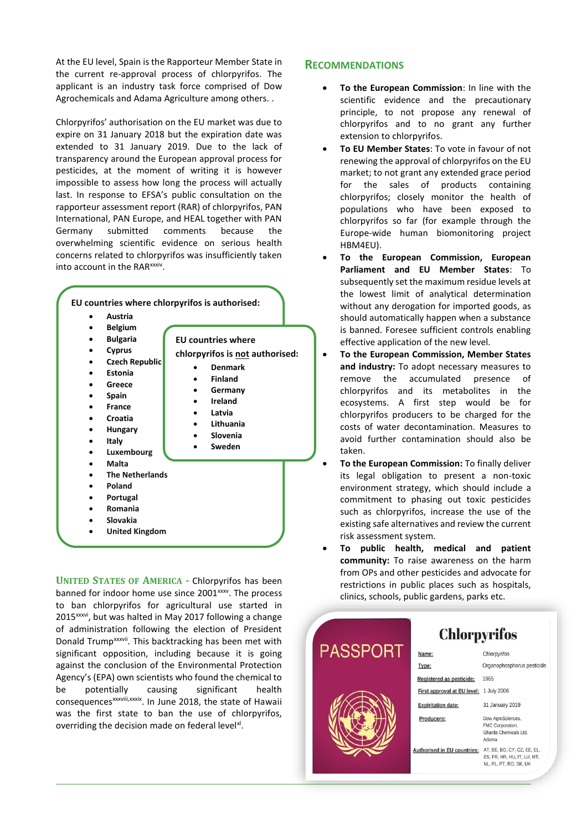At the EU level, Spain is the Rapporteur Member State in the current re-approval process of chlorpyrifos. The applicant is an industry task force comprised of Dow Agrochemicals and Adama Agriculture among others. .

Chlorpyrifos' authorisation on the EU market was due to expire on 31 January 2018 but the expiration date was extended to 31 January 2019. Due to the lack of transparency around the European approval process for pesticides, at the moment of writing it is however impossible to assess how long the process will actually last. In response to EFSA's public consultation on the rapporteur assessment report (RAR) of chlorpyrifos, PAN International, PAN Europe, and HEAL together with PAN Germany submitted comments because the overwhelming scientific evidence on serious health concerns related to chlorpyrifos was insufficiently taken into account in the RAR<sup>xxxiv</sup>.



**UNITED STATES OF AMERICA -** Chlorpyrifos has been banned for indoor home use since 2001<sup>xxxv</sup>. The process to ban chlorpyrifos for agricultural use started in 2015<sup>xxxvi</sup>, but was halted in May 2017 following a change of administration following the election of President Donald Trump<sup>xxxvii</sup>. This backtracking has been met with significant opposition, including because it is going against the conclusion of the Environmental Protection Agency's (EPA) own scientists who found the chemical to be potentially causing significant health consequences<sup>xxxviii,xxxix</sup>. In June 2018, the state of Hawaii was the first state to ban the use of chlorpyrifos, overriding the decision made on federal level<sup>xl</sup>.

## **RECOMMENDATIONS**

- **To the European Commission**: In line with the scientific evidence and the precautionary principle, to not propose any renewal of chlorpyrifos and to no grant any further extension to chlorpyrifos.
- **To EU Member States**: To vote in favour of not renewing the approval of chlorpyrifos on the EU market; to not grant any extended grace period for the sales of products containing chlorpyrifos; closely monitor the health of populations who have been exposed to chlorpyrifos so far (for example through the Europe-wide human biomonitoring project HBM4EU).
- **To the European Commission, European Parliament and EU Member States**: To subsequently set the maximum residue levels at the lowest limit of analytical determination without any derogation for imported goods, as should automatically happen when a substance is banned. Foresee sufficient controls enabling effective application of the new level.
- **To the European Commission, Member States and industry:** To adopt necessary measures to remove the accumulated presence of chlorpyrifos and its metabolites in the ecosystems. A first step would be for chlorpyrifos producers to be charged for the costs of water decontamination. Measures to avoid further contamination should also be taken.
- **To the European Commission:** To finally deliver its legal obligation to present a non-toxic environment strategy, which should include a commitment to phasing out toxic pesticides such as chlorpyrifos, increase the use of the existing safe alternatives and review the current risk assessment system.
- **To public health, medical and patient community:** To raise awareness on the harm from OPs and other pesticides and advocate for restrictions in public places such as hospitals, clinics, schools, public gardens, parks etc.

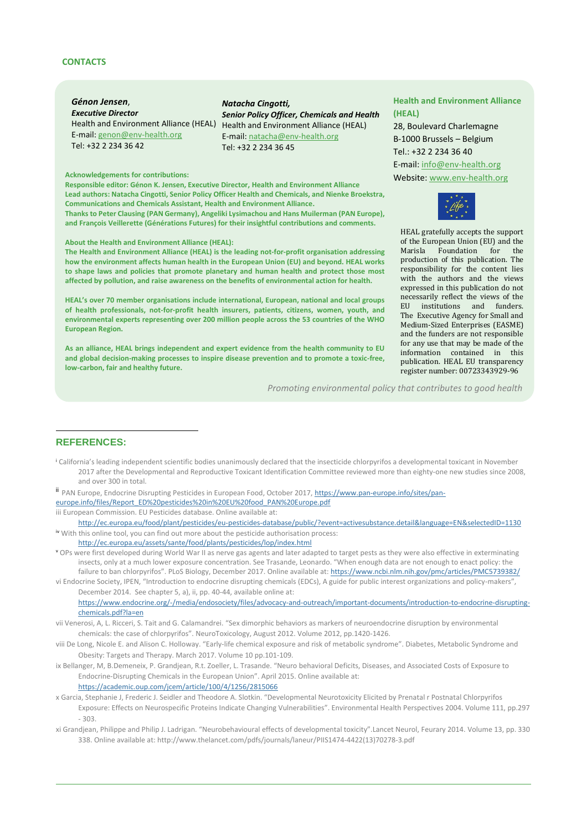#### **CONTACTS**

*Génon Jensen*, *Executive Director* E-mail: [genon@env-health.org](mailto:genon@env-health.org) Tel: +32 2 234 36 42

#### *Natacha Cingotti, Senior Policy Officer, Chemicals and Health* Health and Environment Alliance (HEAL) Health and Environment Alliance (HEAL) E-mail: [natacha@env-health.org](mailto:natacha@env-health.org) Tel: +32 2 234 36 45

**Responsible editor: Génon K. Jensen, Executive Director, Health and Environment Alliance Lead authors: Natacha Cingotti, Senior Policy Officer Health and Chemicals, and Nienke Broekstra, Communications and Chemicals Assistant, Health and Environment Alliance. Thanks to Peter Clausing (PAN Germany), Angeliki Lysimachou and Hans Muilerman (PAN Europe), and François Veillerette (Générations Futures) for their insightful contributions and comments.**

#### **About the Health and Environment Alliance (HEAL):**

**The Health and Environment Alliance (HEAL) is the leading not-for-profit organisation addressing how the environment affects human health in the European Union (EU) and beyond. HEAL works to shape laws and policies that promote planetary and human health and protect those most affected by pollution, and raise awareness on the benefits of environmental action for health.** 

**HEAL's over 70 member organisations include international, European, national and local groups of health professionals, not-for-profit health insurers, patients, citizens, women, youth, and environmental experts representing over 200 million people across the 53 countries of the WHO European Region.** 

**As an alliance, HEAL brings independent and expert evidence from the health community to EU and global decision-making processes to inspire disease prevention and to promote a toxic-free, low-carbon, fair and healthy future.** 

**HEAL's EU Transparency Register Number: 00723343929-96** *Promoting environmental policy that contributes to good health*

# **REFERENCES:**

 $\overline{a}$ 

- <sup>i</sup> California's leading independent scientific bodies unanimously declared that the insecticide chlorpyrifos a developmental toxicant in November 2017 after the Developmental and Reproductive Toxicant Identification Committee reviewed more than eighty-one new studies since 2008, and over 300 in total.
- ii PAN Europe, Endocrine Disrupting Pesticides in European Food, October 2017[, https://www.pan-europe.info/sites/pan-](https://www.pan-europe.info/sites/pan-europe.info/files/Report_ED%20pesticides%20in%20EU%20food_PAN%20Europe.pdf)
- [europe.info/files/Report\\_ED%20pesticides%20in%20EU%20food\\_PAN%20Europe.pdf](https://www.pan-europe.info/sites/pan-europe.info/files/Report_ED%20pesticides%20in%20EU%20food_PAN%20Europe.pdf)
- iii European Commission. EU Pesticides database. Online available at:

<http://ec.europa.eu/food/plant/pesticides/eu-pesticides-database/public/?event=activesubstance.detail&language=EN&selectedID=1130> iv With this online tool, you can find out more about the pesticide authorisation process:

- <http://ec.europa.eu/assets/sante/food/plants/pesticides/lop/index.html>
- v OPs were first developed during World War II as nerve gas agents and later adapted to target pests as they were also effective in exterminating insects, only at a much lower exposure concentration. See Trasande, Leonardo. "When enough data are not enough to enact policy: the failure to ban chlorpyrifos". PLoS Biology, December 2017. Online available at: <https://www.ncbi.nlm.nih.gov/pmc/articles/PMC5739382/>
- vi Endocrine Society, IPEN, "Introduction to endocrine disrupting chemicals (EDCs), A guide for public interest organizations and policy-makers", December 2014. See chapter 5, a), ii, pp. 40-44, available online at: [https://www.endocrine.org/-/media/endosociety/files/advocacy-and-outreach/important-documents/introduction-to-endocrine-disrupting](https://www.endocrine.org/-/media/endosociety/files/advocacy-and-outreach/important-documents/introduction-to-endocrine-disrupting-chemicals.pdf?la=en)[chemicals.pdf?la=en](https://www.endocrine.org/-/media/endosociety/files/advocacy-and-outreach/important-documents/introduction-to-endocrine-disrupting-chemicals.pdf?la=en)
- vii Venerosi, A, L. Ricceri, S. Tait and G. Calamandrei. "Sex dimorphic behaviors as markers of neuroendocrine disruption by environmental chemicals: the case of chlorpyrifos". NeuroToxicology, August 2012. Volume 2012, pp.1420-1426.
- viii De Long, Nicole E. and Alison C. Holloway. "Early-life chemical exposure and risk of metabolic syndrome". Diabetes, Metabolic Syndrome and Obesity: Targets and Therapy. March 2017. Volume 10 pp.101-109.
- ix Bellanger, M, B.Demeneix, P. Grandjean, R.t. Zoeller, L. Trasande. "Neuro behavioral Deficits, Diseases, and Associated Costs of Exposure to Endocrine-Disrupting Chemicals in the European Union". April 2015. Online available at: <https://academic.oup.com/jcem/article/100/4/1256/2815066>
- x Garcia, Stephanie J, Frederic J. Seidler and Theodore A. Slotkin. "Developmental Neurotoxicity Elicited by Prenatal r Postnatal Chlorpyrifos Exposure: Effects on Neurospecific Proteins Indicate Changing Vulnerabilities". Environmental Health Perspectives 2004. Volume 111, pp.297 - 303.
- xi Grandjean, Philippe and Philip J. Ladrigan. "Neurobehavioural effects of developmental toxicity".Lancet Neurol, Feurary 2014. Volume 13, pp. 330 338. Online available at[: http://www.thelancet.com/pdfs/journals/laneur/PIIS1474-4422\(13\)70278-3.pdf](http://www.thelancet.com/pdfs/journals/laneur/PIIS1474-4422(13)70278-3.pdf)

#### **Health and Environment Alliance (HEAL)**

28, Boulevard Charlemagne B-1000 Brussels – Belgium Tel.: +32 2 234 36 40 E-mail[: info@env-health.org](mailto:info@env-health.org) Acknowledgements for contributions: **Acknowledgements for contributions: Acknowledgements for contributions:** 



HEAL gratefully accepts the support of the European Union (EU) and the Marisla Foundation for production of this publication. The responsibility for the content lies with the authors and the views expressed in this publication do not necessarily reflect the views of the EU institutions and funders. The Executive Agency for Small and Medium-Sized Enterprises (EASME) and the funders are not responsible for any use that may be made of the information contained in this publication. HEAL EU transparency register number: 00723343929-96